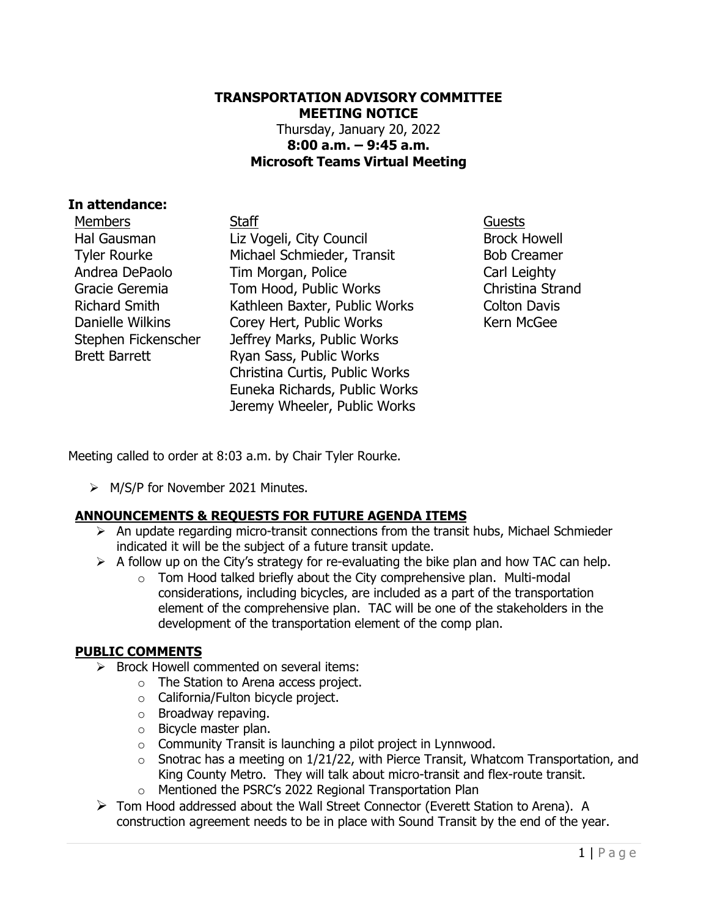### **TRANSPORTATION ADVISORY COMMITTEE MEETING NOTICE** Thursday, January 20, 2022 **8:00 a.m. – 9:45 a.m. Microsoft Teams Virtual Meeting**

### **In attendance:**

Members Staff Guests Hal Gausman Tyler Rourke Andrea DePaolo Gracie Geremia Richard Smith Danielle Wilkins Stephen Fickenscher Brett Barrett

Liz Vogeli, City Council Michael Schmieder, Transit Tim Morgan, Police Tom Hood, Public Works Kathleen Baxter, Public Works Corey Hert, Public Works Jeffrey Marks, Public Works Ryan Sass, Public Works Christina Curtis, Public Works Euneka Richards, Public Works Jeremy Wheeler, Public Works

Brock Howell Bob Creamer Carl Leighty Christina Strand Colton Davis Kern McGee

Meeting called to order at 8:03 a.m. by Chair Tyler Rourke.

➢ M/S/P for November 2021 Minutes.

## **ANNOUNCEMENTS & REQUESTS FOR FUTURE AGENDA ITEMS**

- ➢ An update regarding micro-transit connections from the transit hubs, Michael Schmieder indicated it will be the subject of a future transit update.
- $\triangleright$  A follow up on the City's strategy for re-evaluating the bike plan and how TAC can help.
	- $\circ$  Tom Hood talked briefly about the City comprehensive plan. Multi-modal considerations, including bicycles, are included as a part of the transportation element of the comprehensive plan. TAC will be one of the stakeholders in the development of the transportation element of the comp plan.

#### **PUBLIC COMMENTS**

- ➢ Brock Howell commented on several items:
	- o The Station to Arena access project.
		- o California/Fulton bicycle project.
		- o Broadway repaving.
		- o Bicycle master plan.
		- $\circ$  Community Transit is launching a pilot project in Lynnwood.
		- $\circ$  Snotrac has a meeting on 1/21/22, with Pierce Transit, Whatcom Transportation, and King County Metro. They will talk about micro-transit and flex-route transit.
		- o Mentioned the PSRC's 2022 Regional Transportation Plan
- ➢ Tom Hood addressed about the Wall Street Connector (Everett Station to Arena). A construction agreement needs to be in place with Sound Transit by the end of the year.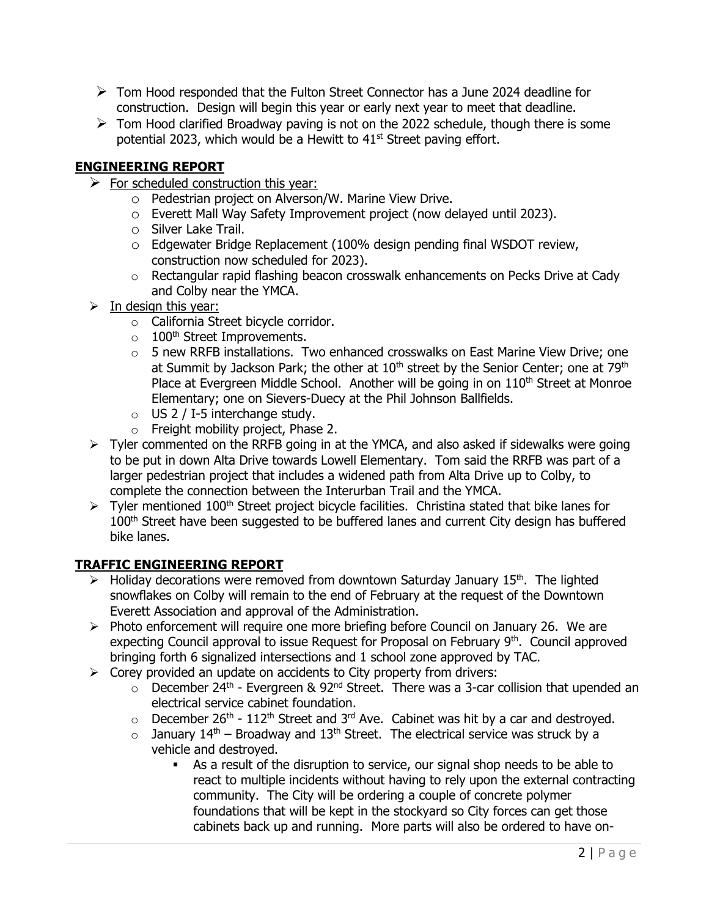- $\triangleright$  Tom Hood responded that the Fulton Street Connector has a June 2024 deadline for construction. Design will begin this year or early next year to meet that deadline.
- $\triangleright$  Tom Hood clarified Broadway paving is not on the 2022 schedule, though there is some potential 2023, which would be a Hewitt to 41<sup>st</sup> Street paving effort.

# **ENGINEERING REPORT**

- $\triangleright$  For scheduled construction this year:
	- o Pedestrian project on Alverson/W. Marine View Drive.
	- o Everett Mall Way Safety Improvement project (now delayed until 2023).
	- o Silver Lake Trail.
	- $\circ$  Edgewater Bridge Replacement (100% design pending final WSDOT review, construction now scheduled for 2023).
	- $\circ$  Rectangular rapid flashing beacon crosswalk enhancements on Pecks Drive at Cady and Colby near the YMCA.
- $\triangleright$  In design this year:
	- o California Street bicycle corridor.
	- $\circ$  100<sup>th</sup> Street Improvements.
	- $\circ$  5 new RRFB installations. Two enhanced crosswalks on East Marine View Drive; one at Summit by Jackson Park; the other at  $10<sup>th</sup>$  street by the Senior Center; one at  $79<sup>th</sup>$ Place at Evergreen Middle School. Another will be going in on  $110<sup>th</sup>$  Street at Monroe Elementary; one on Sievers-Duecy at the Phil Johnson Ballfields.
	- o US 2 / I-5 interchange study.
	- o Freight mobility project, Phase 2.
- ➢ Tyler commented on the RRFB going in at the YMCA, and also asked if sidewalks were going to be put in down Alta Drive towards Lowell Elementary. Tom said the RRFB was part of a larger pedestrian project that includes a widened path from Alta Drive up to Colby, to complete the connection between the Interurban Trail and the YMCA.
- $\triangleright$  Tyler mentioned 100<sup>th</sup> Street project bicycle facilities. Christina stated that bike lanes for 100<sup>th</sup> Street have been suggested to be buffered lanes and current City design has buffered bike lanes.

# **TRAFFIC ENGINEERING REPORT**

- $\triangleright$  Holiday decorations were removed from downtown Saturday January 15<sup>th</sup>. The lighted snowflakes on Colby will remain to the end of February at the request of the Downtown Everett Association and approval of the Administration.
- $\triangleright$  Photo enforcement will require one more briefing before Council on January 26. We are expecting Council approval to issue Request for Proposal on February 9<sup>th</sup>. Council approved bringing forth 6 signalized intersections and 1 school zone approved by TAC.
- $\triangleright$  Corey provided an update on accidents to City property from drivers:
	- $\circ$  December 24<sup>th</sup> Evergreen & 92<sup>nd</sup> Street. There was a 3-car collision that upended an electrical service cabinet foundation.
	- $\circ$  December 26<sup>th</sup> 112<sup>th</sup> Street and 3<sup>rd</sup> Ave. Cabinet was hit by a car and destroyed.
	- $\circ$  January 14<sup>th</sup> Broadway and 13<sup>th</sup> Street. The electrical service was struck by a vehicle and destroyed.
		- As a result of the disruption to service, our signal shop needs to be able to react to multiple incidents without having to rely upon the external contracting community. The City will be ordering a couple of concrete polymer foundations that will be kept in the stockyard so City forces can get those cabinets back up and running. More parts will also be ordered to have on-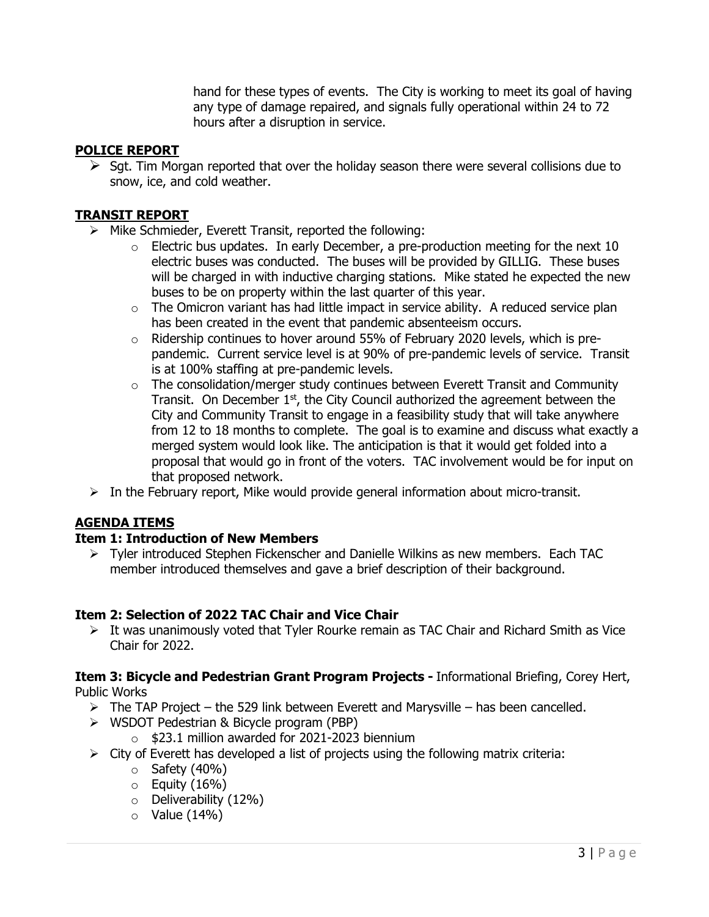hand for these types of events. The City is working to meet its goal of having any type of damage repaired, and signals fully operational within 24 to 72 hours after a disruption in service.

### **POLICE REPORT**

 $\triangleright$  Sqt. Tim Morgan reported that over the holiday season there were several collisions due to snow, ice, and cold weather.

### **TRANSIT REPORT**

- ➢ Mike Schmieder, Everett Transit, reported the following:
	- $\circ$  Electric bus updates. In early December, a pre-production meeting for the next 10 electric buses was conducted. The buses will be provided by GILLIG. These buses will be charged in with inductive charging stations. Mike stated he expected the new buses to be on property within the last quarter of this year.
	- $\circ$  The Omicron variant has had little impact in service ability. A reduced service plan has been created in the event that pandemic absenteeism occurs.
	- o Ridership continues to hover around 55% of February 2020 levels, which is prepandemic. Current service level is at 90% of pre-pandemic levels of service. Transit is at 100% staffing at pre-pandemic levels.
	- $\circ$  The consolidation/merger study continues between Everett Transit and Community Transit. On December  $1<sup>st</sup>$ , the City Council authorized the agreement between the City and Community Transit to engage in a feasibility study that will take anywhere from 12 to 18 months to complete. The goal is to examine and discuss what exactly a merged system would look like. The anticipation is that it would get folded into a proposal that would go in front of the voters. TAC involvement would be for input on that proposed network.
- $\triangleright$  In the February report, Mike would provide general information about micro-transit.

#### **AGENDA ITEMS**

#### **Item 1: Introduction of New Members**

➢ Tyler introduced Stephen Fickenscher and Danielle Wilkins as new members. Each TAC member introduced themselves and gave a brief description of their background.

## **Item 2: Selection of 2022 TAC Chair and Vice Chair**

➢ It was unanimously voted that Tyler Rourke remain as TAC Chair and Richard Smith as Vice Chair for 2022.

#### **Item 3: Bicycle and Pedestrian Grant Program Projects -** Informational Briefing, Corey Hert, Public Works

- - $\triangleright$  The TAP Project the 529 link between Everett and Marysville has been cancelled.
	- ➢ WSDOT Pedestrian & Bicycle program (PBP)
		- o \$23.1 million awarded for 2021-2023 biennium
	- $\triangleright$  City of Everett has developed a list of projects using the following matrix criteria:
		- $\circ$  Safety (40%)
		- $\circ$  Equity (16%)
		- o Deliverability (12%)
		- $\circ$  Value (14%)